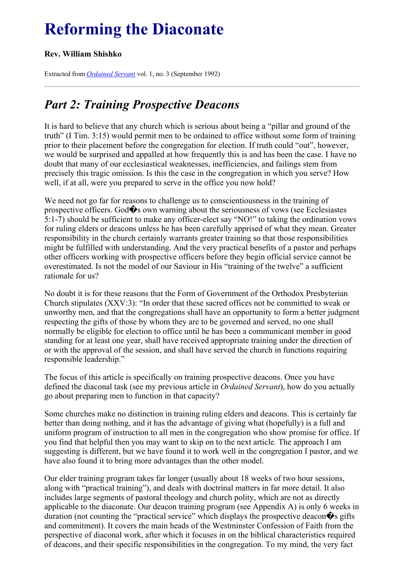# **Reforming the Diaconate**

#### **Rev. William Shishko**

Extracted from *[Ordained](../../Ordained_servant.html) Servant* vol. 1, no. 3 (September 1992)

# *Part 2: Training Prospective Deacons*

It is hard to believe that any church which is serious about being a "pillar and ground of the truth" (I Tim. 3:15) would permit men to be ordained to office without some form of training prior to their placement before the congregation for election. If truth could "out", however, we would be surprised and appalled at how frequently this is and has been the case. I have no doubt that many of our ecclesiastical weaknesses, inefficiencies, and failings stem from precisely this tragic omission. Is this the case in the congregation in which you serve? How well, if at all, were you prepared to serve in the office you now hold?

We need not go far for reasons to challenge us to conscientiousness in the training of prospective officers. God $\hat{\mathbf{\diamond}}$ s own warning about the seriousness of vows (see Ecclesiastes 5:1-7) should be sufficient to make any officer-elect say "NO!" to taking the ordination vows for ruling elders or deacons unless he has been carefully apprised of what they mean. Greater responsibility in the church certainly warrants greater training so that those responsibilities might be fulfilled with understanding. And the very practical benefits of a pastor and perhaps other officers working with prospective officers before they begin official service cannot be overestimated. Is not the model of our Saviour in His "training of the twelve" a sufficient rationale for us?

No doubt it is for these reasons that the Form of Government of the Orthodox Presbyterian Church stipulates (XXV:3): "In order that these sacred offices not be committed to weak or unworthy men, and that the congregations shall have an opportunity to form a better judgment respecting the gifts of those by whom they are to be governed and served, no one shall normally be eligible for election to office until he has been a communicant member in good standing for at least one year, shall have received appropriate training under the direction of or with the approval of the session, and shall have served the church in functions requiring responsible leadership."

The focus of this article is specifically on training prospective deacons. Once you have defined the diaconal task (see my previous article in *Ordained Servant*), how do you actually go about preparing men to function in that capacity?

Some churches make no distinction in training ruling elders and deacons. This is certainly far better than doing nothing, and it has the advantage of giving what (hopefully) is a full and uniform program of instruction to all men in the congregation who show promise for office. If you find that helpful then you may want to skip on to the next article. The approach I am suggesting is different, but we have found it to work well in the congregation I pastor, and we have also found it to bring more advantages than the other model.

Our elder training program takes far longer (usually about 18 weeks of two hour sessions, along with "practical training"), and deals with doctrinal matters in far more detail. It also includes large segments of pastoral theology and church polity, which are not as directly applicable to the diaconate. Our deacon training program (see Appendix A) is only 6 weeks in duration (not counting the "practical service" which displays the prospective deacon $\hat{\mathbf{\bullet}}$ s gifts and commitment). It covers the main heads of the Westminster Confession of Faith from the perspective of diaconal work, after which it focuses in on the biblical characteristics required of deacons, and their specific responsibilities in the congregation. To my mind, the very fact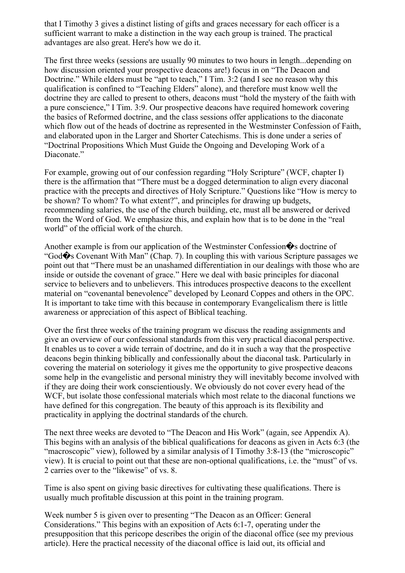that I Timothy 3 gives a distinct listing of gifts and graces necessary for each officer is a sufficient warrant to make a distinction in the way each group is trained. The practical advantages are also great. Here's how we do it.

The first three weeks (sessions are usually 90 minutes to two hours in length...depending on how discussion oriented your prospective deacons are!) focus in on "The Deacon and Doctrine." While elders must be "apt to teach," I Tim. 3:2 (and I see no reason why this qualification is confined to "Teaching Elders" alone), and therefore must know well the doctrine they are called to present to others, deacons must "hold the mystery of the faith with a pure conscience," I Tim. 3:9. Our prospective deacons have required homework covering the basics of Reformed doctrine, and the class sessions offer applications to the diaconate which flow out of the heads of doctrine as represented in the Westminster Confession of Faith, and elaborated upon in the Larger and Shorter Catechisms. This is done under a series of "Doctrinal Propositions Which Must Guide the Ongoing and Developing Work of a Diaconate."

For example, growing out of our confession regarding "Holy Scripture" (WCF, chapter I) there is the affirmation that "There must be a dogged determination to align every diaconal practice with the precepts and directives of Holy Scripture." Questions like "How is mercy to be shown? To whom? To what extent?", and principles for drawing up budgets, recommending salaries, the use of the church building, etc, must all be answered or derived from the Word of God. We emphasize this, and explain how that is to be done in the "real world" of the official work of the church.

Another example is from our application of the Westminster Confession  $\hat{\mathbf{\bullet}}$ s doctrine of "God $\hat{\mathbf{\diamond}}$ s Covenant With Man" (Chap. 7). In coupling this with various Scripture passages we point out that "There must be an unashamed differentiation in our dealings with those who are inside or outside the covenant of grace." Here we deal with basic principles for diaconal service to believers and to unbelievers. This introduces prospective deacons to the excellent material on "covenantal benevolence" developed by Leonard Coppes and others in the OPC. It is important to take time with this because in contemporary Evangelicalism there is little awareness or appreciation of this aspect of Biblical teaching.

Over the first three weeks of the training program we discuss the reading assignments and give an overview of our confessional standards from this very practical diaconal perspective. It enables us to cover a wide terrain of doctrine, and do it in such a way that the prospective deacons begin thinking biblically and confessionally about the diaconal task. Particularly in covering the material on soteriology it gives me the opportunity to give prospective deacons some help in the evangelistic and personal ministry they will inevitably become involved with if they are doing their work conscientiously. We obviously do not cover every head of the WCF, but isolate those confessional materials which most relate to the diaconal functions we have defined for this congregation. The beauty of this approach is its flexibility and practicality in applying the doctrinal standards of the church.

The next three weeks are devoted to "The Deacon and His Work" (again, see Appendix A). This begins with an analysis of the biblical qualifications for deacons as given in Acts 6:3 (the "macroscopic" view), followed by a similar analysis of I Timothy 3:8-13 (the "microscopic" view). It is crucial to point out that these are non-optional qualifications, i.e. the "must" of vs. 2 carries over to the "likewise" of vs. 8.

Time is also spent on giving basic directives for cultivating these qualifications. There is usually much profitable discussion at this point in the training program.

Week number 5 is given over to presenting "The Deacon as an Officer: General Considerations." This begins with an exposition of Acts 6:1-7, operating under the presupposition that this pericope describes the origin of the diaconal office (see my previous article). Here the practical necessity of the diaconal office is laid out, its official and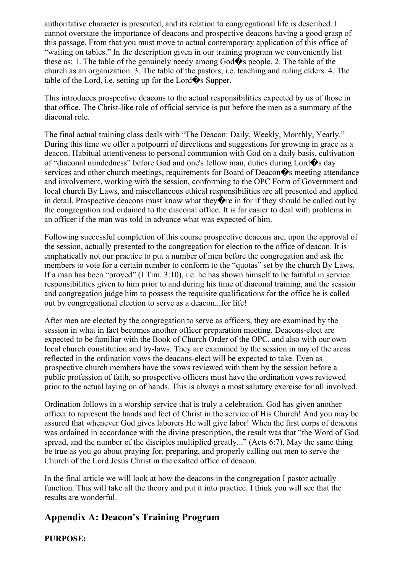authoritative character is presented, and its relation to congregational life is described. I cannot overstate the importance of deacons and prospective deacons having a good grasp of this passage. From that you must move to actual contemporary application of this office of "waiting on tables." In the description given in our training program we conveniently list these as: 1. The table of the genuinely needy among God $\hat{\mathbf{\diamond}}$ s people. 2. The table of the church as an organization. 3. The table of the pastors, i.e. teaching and ruling elders. 4. The table of the Lord, i.e. setting up for the Lord $\hat{\mathbf{\diamond}}$ s Supper.

This introduces prospective deacons to the actual responsibilities expected by us of those in that office. The Christ-like role of official service is put before the men as a summary of the diaconal role.

The final actual training class deals with "The Deacon: Daily, Weekly, Monthly, Yearly." During this time we offer a potpourri of directions and suggestions for growing in grace as a deacon. Habitual attentiveness to personal communion with God on a daily basis, cultivation of "diaconal mindedness" before God and one's fellow man, duties during Lord�s day services and other church meetings, requirements for Board of Deacon $\hat{\mathbf{\bullet}}$ s meeting attendance and involvement, working with the session, conforming to the OPC Form of Government and local church By Laws, and miscellaneous ethical responsibilities are all presented and applied in detail. Prospective deacons must know what they  $\hat{\mathbf{\Phi}}$  re in for if they should be called out by the congregation and ordained to the diaconal office. It is far easier to deal with problems in an officer if the man was told in advance what was expected of him.

Following successful completion of this course prospective deacons are, upon the approval of the session, actually presented to the congregation for election to the office of deacon. It is emphatically not our practice to put a number of men before the congregation and ask the members to vote for a certain number to conform to the "quotas" set by the church By Laws. If a man has been "proved" (I Tim. 3:10), i.e. he has shown himself to be faithful in service responsibilities given to him prior to and during his time of diaconal training, and the session and congregation judge him to possess the requisite qualifications for the office he is called out by congregational election to serve as a deacon...for life!

After men are elected by the congregation to serve as officers, they are examined by the session in what in fact becomes another officer preparation meeting. Deacons-elect are expected to be familiar with the Book of Church Order of the OPC, and also with our own local church constitution and by-laws. They are examined by the session in any of the areas reflected in the ordination vows the deacons-elect will be expected to take. Even as prospective church members have the vows reviewed with them by the session before a public profession of faith, so prospective officers must have the ordination vows reviewed prior to the actual laying on of hands. This is always a most salutary exercise for all involved.

Ordination follows in a worship service that is truly a celebration. God has given another officer to represent the hands and feet of Christ in the service of His Church! And you may be assured that whenever God gives laborers He will give labor! When the first corps of deacons was ordained in accordance with the divine prescription, the result was that "the Word of God spread, and the number of the disciples multiplied greatly..." (Acts 6:7). May the same thing be true as you go about praying for, preparing, and properly calling out men to serve the Church of the Lord Jesus Christ in the exalted office of deacon.

In the final article we will look at how the deacons in the congregation I pastor actually function. This will take all the theory and put it into practice. I think you will see that the results are wonderful.

#### **Appendix A: Deacon's Training Program**

**PURPOSE:**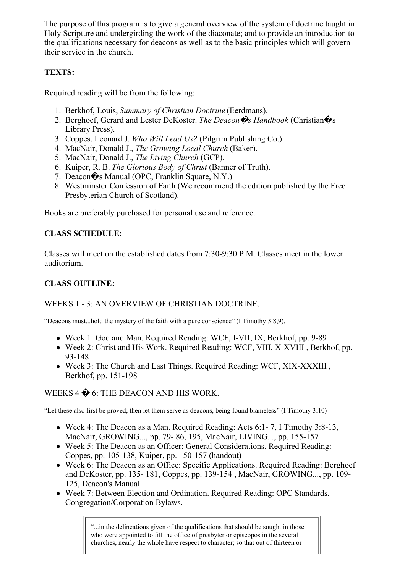The purpose of this program is to give a general overview of the system of doctrine taught in Holy Scripture and undergirding the work of the diaconate; and to provide an introduction to the qualifications necessary for deacons as well as to the basic principles which will govern their service in the church.

#### **TEXTS:**

Required reading will be from the following:

- 1. Berkhof, Louis, *Summary of Christian Doctrine* (Eerdmans).
- 2. Berghoef, Gerard and Lester DeKoster. *The Deacon*�*s Handbook* (Christian�s Library Press).
- 3. Coppes, Leonard J. *Who Will Lead Us?* (Pilgrim Publishing Co.).
- 4. MacNair, Donald J., *The Growing Local Church* (Baker).
- 5. MacNair, Donald J., *The Living Church* (GCP).
- 6. Kuiper, R. B. *The Glorious Body of Christ* (Banner of Truth).
- 7. Deacon�s Manual (OPC, Franklin Square, N.Y.)
- 8. Westminster Confession of Faith (We recommend the edition published by the Free Presbyterian Church of Scotland).

Books are preferably purchased for personal use and reference.

### **CLASS SCHEDULE:**

Classes will meet on the established dates from 7:30-9:30 P.M. Classes meet in the lower auditorium.

# **CLASS OUTLINE:**

#### WEEKS 1 - 3: AN OVERVIEW OF CHRISTIAN DOCTRINE.

"Deacons must...hold the mystery of the faith with a pure conscience" (I Timothy 3:8,9).

- Week 1: God and Man. Required Reading: WCF, I-VII, IX, Berkhof, pp. 9-89
- Week 2: Christ and His Work. Required Reading: WCF, VIII, X-XVIII , Berkhof, pp. 93-148
- Week 3: The Church and Last Things. Required Reading: WCF, XIX-XXXIII , Berkhof, pp. 151-198

## WEEKS 4  $\bigcirc$  6: THE DEACON AND HIS WORK.

"Let these also first be proved; then let them serve as deacons, being found blameless" (I Timothy 3:10)

- Week 4: The Deacon as a Man. Required Reading: Acts 6:1- 7, I Timothy 3:8-13, MacNair, GROWING..., pp. 79- 86, 195, MacNair, LIVING..., pp. 155-157
- Week 5: The Deacon as an Officer: General Considerations. Required Reading: Coppes, pp. 105-138, Kuiper, pp. 150-157 (handout)
- Week 6: The Deacon as an Office: Specific Applications. Required Reading: Berghoef and DeKoster, pp. 135- 181, Coppes, pp. 139-154 , MacNair, GROWING..., pp. 109- 125, Deacon's Manual
- Week 7: Between Election and Ordination. Required Reading: OPC Standards, Congregation/Corporation Bylaws.

"...in the delineations given of the qualifications that should be sought in those who were appointed to fill the office of presbyter or episcopos in the several churches, nearly the whole have respect to character; so that out of thirteen or